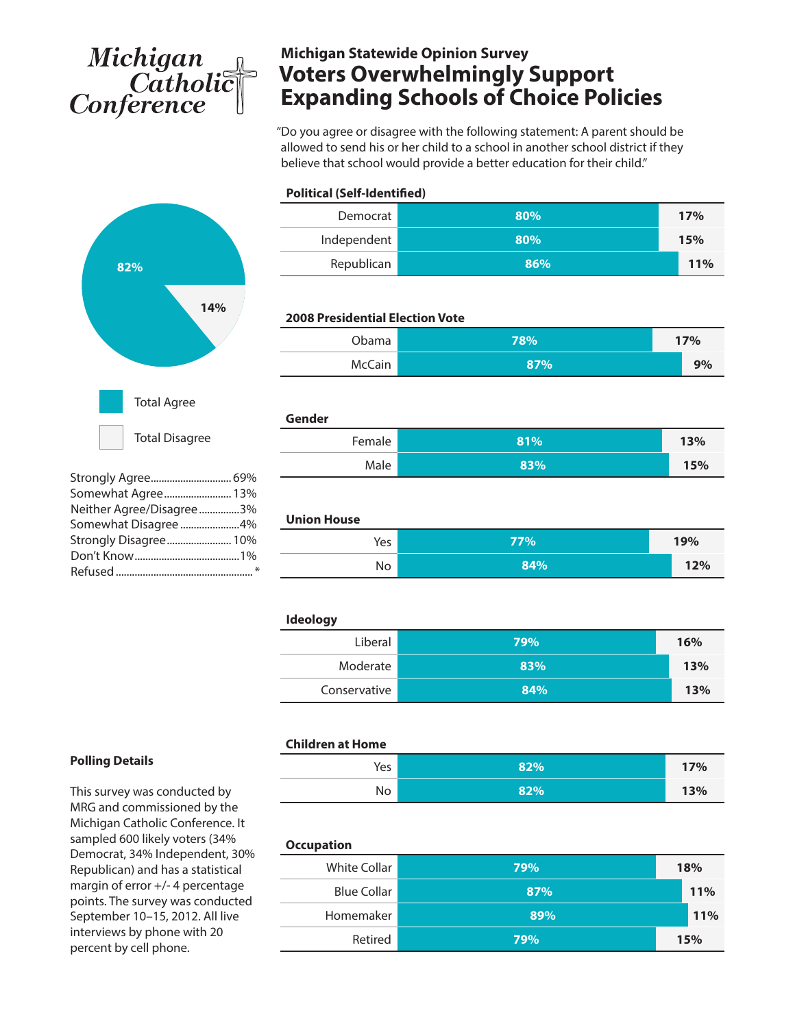# Michigan<br>Catholic<br>Conference

# **Michigan Statewide Opinion Survey Voters Overwhelmingly Support Expanding Schools of Choice Policies**

"Do you agree or disagree with the following statement: A parent should be allowed to send his or her child to a school in another school district if they believe that school would provide a better education for their child."



| Strongly Agree 69%       |  |
|--------------------------|--|
| Somewhat Agree 13%       |  |
| Neither Agree/Disagree3% |  |
| Somewhat Disagree4%      |  |
| Strongly Disagree 10%    |  |
|                          |  |
|                          |  |

| Democrat    | 80% | 17% |
|-------------|-----|-----|
| Independent | 80% | 15% |
| Republican  | 86% | 11% |

# **2008 Presidential Election Vote**

| Obama         | 78% | 17% |  |
|---------------|-----|-----|--|
| <b>McCain</b> | 87% | 9%  |  |

| Gender |     |     |
|--------|-----|-----|
| Female | 81% | 13% |
| Male   | 83% | 15% |

## **Union House**

| Yes | 77% | 19% |  |
|-----|-----|-----|--|
| No  | 84% | 12% |  |

#### **Ideology**

| Liberal      | 79% | 16% |
|--------------|-----|-----|
| Moderate     | 83% | 13% |
| Conservative | 84% | 13% |

# **Polling Details**

This survey was conducted by MRG and commissioned by the Michigan Catholic Conference. It sampled 600 likely voters (34% Democrat, 34% Independent, 30% Republican) and has a statistical margin of error +/- 4 percentage points. The survey was conducted September 10–15, 2012. All live interviews by phone with 20 percent by cell phone.

#### **Children at Home**

| Yes | 82% | 17% |
|-----|-----|-----|
| No  | 82% | 13% |

## **Occupation**

| White Collar       | 79% | 18% |  |
|--------------------|-----|-----|--|
| <b>Blue Collar</b> | 87% | 11% |  |
| Homemaker          | 89% | 11% |  |
| Retired            | 79% | 15% |  |